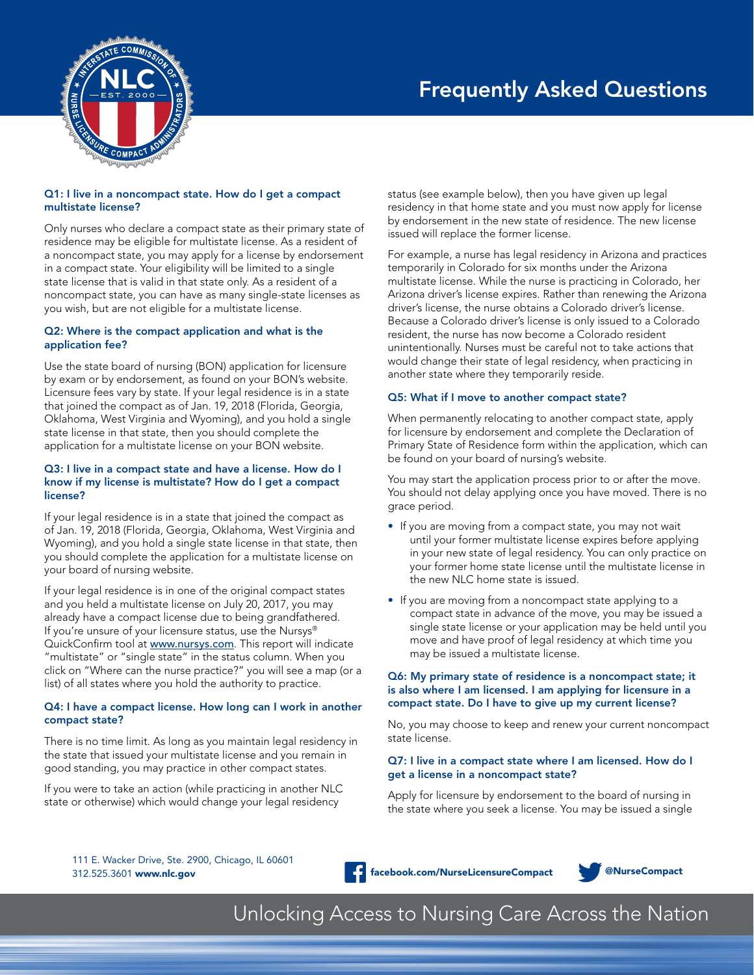

# Frequently Asked Questions

# Q1: I live in a noncompact state. How do I get a compact multistate license?

Only nurses who declare a compact state as their primary state of residence may be eligible for multistate license. As a resident of a noncompact state, you may apply for a license by endorsement in a compact state. Your eligibility will be limited to a single state license that is valid in that state only. As a resident of a noncompact state, you can have as many single-state licenses as you wish, but are not eligible for a multistate license.

# Q2: Where is the compact application and what is the application fee?

Use the state board of nursing (BON) application for licensure by exam or by endorsement, as found on your BON's website. Licensure fees vary by state. If your legal residence is in a state that joined the compact as of Jan. 19, 2018 (Florida, Georgia, Oklahoma, West Virginia and Wyoming), and you hold a single state license in that state, then you should complete the application for a multistate license on your BON website.

# Q3: I live in a compact state and have a license. How do I know if my license is multistate? How do I get a compact license?

If your legal residence is in a state that joined the compact as of Jan. 19, 2018 (Florida, Georgia, Oklahoma, West Virginia and Wyoming), and you hold a single state license in that state, then you should complete the application for a multistate license on your board of nursing website.

If your legal residence is in one of the original compact states and you held a multistate license on July 20, 2017, you may already have a compact license due to being grandfathered. If you're unsure of your licensure status, use the Nursys® QuickConfirm tool at www.nursys.com. This report will indicate "multistate" or "single state" in the status column. When you click on "Where can the nurse practice?" you will see a map (or a list) of all states where you hold the authority to practice.

# Q4: I have a compact license. How long can I work in another compact state?

There is no time limit. As long as you maintain legal residency in the state that issued your multistate license and you remain in good standing, you may practice in other compact states.

If you were to take an action (while practicing in another NLC state or otherwise) which would change your legal residency

status (see example below), then you have given up legal residency in that home state and you must now apply for license by endorsement in the new state of residence. The new license issued will replace the former license.

For example, a nurse has legal residency in Arizona and practices temporarily in Colorado for six months under the Arizona multistate license. While the nurse is practicing in Colorado, her Arizona driver's license expires. Rather than renewing the Arizona driver's license, the nurse obtains a Colorado driver's license. Because a Colorado driver's license is only issued to a Colorado resident, the nurse has now become a Colorado resident unintentionally. Nurses must be careful not to take actions that would change their state of legal residency, when practicing in another state where they temporarily reside.

# Q5: What if I move to another compact state?

When permanently relocating to another compact state, apply for licensure by endorsement and complete the Declaration of Primary State of Residence form within the application, which can be found on your board of nursing's website.

You may start the application process prior to or after the move. You should not delay applying once you have moved. There is no grace period.

- If you are moving from a compact state, you may not wait until your former multistate license expires before applying in your new state of legal residency. You can only practice on your former home state license until the multistate license in the new NLC home state is issued.
- If you are moving from a noncompact state applying to a compact state in advance of the move, you may be issued a single state license or your application may be held until you move and have proof of legal residency at which time you may be issued a multistate license.

# Q6: My primary state of residence is a noncompact state; it is also where I am licensed. I am applying for licensure in a compact state. Do I have to give up my current license?

No, you may choose to keep and renew your current noncompact state license.

# Q7: I live in a compact state where I am licensed. How do I get a license in a noncompact state?

Apply for licensure by endorsement to the board of nursing in the state where you seek a license. You may be issued a single

111 E. Wacker Drive, Ste. 2900, Chicago, IL 60601 312.525.3601 [www.nlc.gov](http://www.nlc.gov) **facebook.com/NurseLicensureCompact** @NurseCompact @NurseCompact



Unlocking Access to Nursing Care Across the Nation